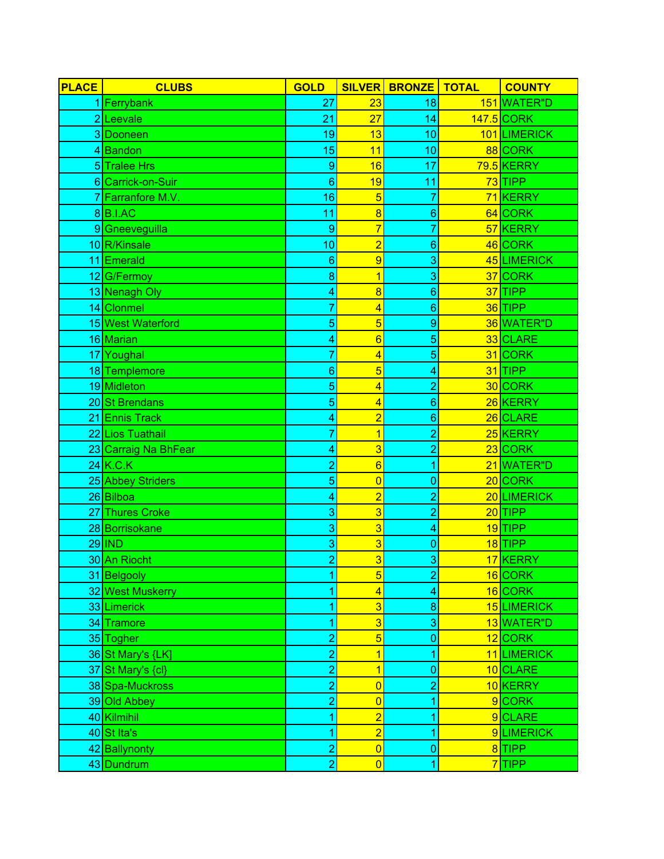| <b>PLACE</b> | <b>CLUBS</b>         | <b>GOLD</b>     |                         | SILVER   BRONZE   TOTAL |    | <b>COUNTY</b> |
|--------------|----------------------|-----------------|-------------------------|-------------------------|----|---------------|
|              | 1 Ferrybank          | 27              | 23                      | 18                      |    | 151 WATER"D   |
|              | 2Leevale             | 21              | 27                      | 14                      |    | 147.5 CORK    |
|              | 3 Dooneen            | 19              | 13                      | 10                      |    | 101 LIMERICK  |
|              | 4Bandon              | 15              | 11                      | 10                      |    | 88 CORK       |
|              | 5Tralee Hrs          | $\overline{9}$  | 16                      | 17                      |    | 79.5 KERRY    |
|              | 6 Carrick-on-Suir    | $6\phantom{1}6$ | 19                      | 11                      |    | 73TIPP        |
|              | 7 Farranfore M.V.    | 16              | $\overline{5}$          |                         |    | 71 KERRY      |
|              | 8 B.IAC              | 11              | $\overline{8}$          | $6\phantom{1}6$         |    | 64 CORK       |
|              | 9 Gneeveguilla       | $\overline{9}$  | $\overline{7}$          | 7                       |    | 57 KERRY      |
|              | 10 R/Kinsale         | 10              | $\overline{2}$          | 6                       |    | 46 CORK       |
|              | 11 Emerald           | $6\phantom{1}6$ | $\overline{9}$          | 3                       |    | 45 LIMERICK   |
|              | 12 G/Fermoy          | 8               | $\overline{1}$          | 3                       |    | 37 CORK       |
|              | 13 Nenagh Oly        | 4               | $\overline{8}$          | 6                       | 37 | <b>TIPP</b>   |
|              | 14 Clonmel           | 7               | $\overline{4}$          | 6                       |    | 36 TIPP       |
|              | 15 West Waterford    | 5               | $\overline{5}$          | $\overline{9}$          |    | 36 WATER"D    |
|              | 16 Marian            | 4               | $6\overline{6}$         | 5                       |    | 33 CLARE      |
|              | 17 Youghal           |                 | $\overline{4}$          | $\overline{5}$          |    | 31 CORK       |
|              | 18 Templemore        | $6\phantom{1}6$ | $\overline{5}$          | 4                       |    | 31 TIPP       |
|              | 19 Midleton          | 5               | $\overline{\mathbf{4}}$ | 2                       |    | 30 CORK       |
|              | 20 St Brendans       | 5               | $\overline{4}$          | $6\phantom{1}6$         |    | 26 KERRY      |
|              | 21 Ennis Track       | 4               | $\overline{2}$          | 6                       |    | 26 CLARE      |
|              | 22 Lios Tuathail     |                 | $\overline{1}$          | $\overline{c}$          |    | 25 KERRY      |
|              | 23 Carraig Na BhFear | 4               | $\overline{3}$          | 2                       |    | 23 CORK       |
|              | $24$ K.C.K           | $\overline{2}$  | $6\phantom{a}$          | 1                       |    | 21 WATER"D    |
|              | 25 Abbey Striders    | 5               | $\overline{0}$          | 0                       |    | 20 CORK       |
|              | 26 Bilboa            | 4               | $\overline{2}$          | 2                       |    | 20 LIMERICK   |
|              | 27 Thures Croke      | 3               | $\overline{3}$          | $\overline{c}$          |    | $20$ TIPP     |
|              | 28 Borrisokane       | 3               | $\overline{3}$          | 4                       |    | 19TIPP        |
|              | $29$ IND             | 3               | $\overline{3}$          | 0                       |    | 18TIPP        |
|              | 30 An Riocht         | $\overline{2}$  | $\overline{3}$          | $\overline{3}$          |    | 17 KERRY      |
|              | 31 Belgooly          | 1               | $\overline{5}$          | $\overline{c}$          |    | 16 CORK       |
|              | 32 West Muskerry     | 1               | $\overline{\mathbf{4}}$ | 4                       |    | 16 CORK       |
|              | 33 Limerick          | 1               | $\overline{3}$          | 8                       |    | 15LIMERICK    |
|              | 34 Tramore           | 1               | $\overline{3}$          | 3                       |    | 13WATER"D     |
|              | 35 Togher            | $\overline{c}$  | $\overline{5}$          | $\pmb{0}$               |    | 12 CORK       |
|              | 36 St Mary's {LK]    | $\overline{a}$  | $\overline{1}$          | 1                       |    | 11 LIMERICK   |
|              | 37 St Mary's {cl}    | $\overline{a}$  | $\overline{1}$          | 0                       |    | 10 CLARE      |
|              | 38 Spa-Muckross      | $\overline{a}$  | $\overline{0}$          | 2                       |    | 10 KERRY      |
|              | 39 Old Abbey         | $\overline{a}$  | $\overline{0}$          | 1                       |    | 9CORK         |
|              | 40 Kilmihil          | 1               | $\overline{2}$          | 1                       |    | 9CLARE        |
|              | 40 St Ita's          | 1               | $\overline{2}$          | 1                       |    | 9LIMERICK     |
|              | 42 Ballynonty        | $\overline{a}$  | $\overline{0}$          | 0                       |    | 8TIPP         |
|              | 43 Dundrum           | $\overline{a}$  | $\overline{0}$          | 1                       |    | 7TIPP         |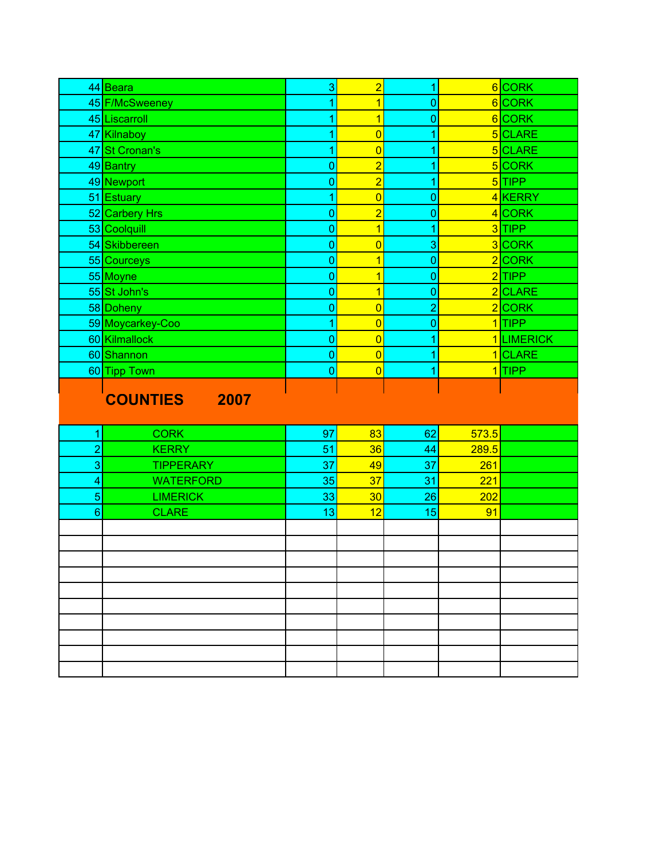|                         | 44 Beara             | 3              | $\overline{2}$  | 1              |       | 6 CORK    |
|-------------------------|----------------------|----------------|-----------------|----------------|-------|-----------|
|                         | 45 F/McSweeney       |                | $\overline{1}$  | $\overline{0}$ |       | 6 CORK    |
|                         | 45 Liscarroll        | 1              | $\overline{1}$  | 0              |       | 6 CORK    |
|                         | 47 Kilnaboy          | 1              | $\overline{0}$  | 1              |       | 5 CLARE   |
|                         | 47 St Cronan's       | 1              | $\overline{0}$  | 1              |       | 5 CLARE   |
|                         | 49 Bantry            | $\overline{0}$ | $\overline{2}$  | 1              |       | 5CORK     |
|                         | 49 Newport           | $\overline{0}$ | $\overline{2}$  | 1              |       | 5TIPP     |
|                         | 51 Estuary           | 1              | $\overline{0}$  | 0              |       | 4KERRY    |
|                         | 52 Carbery Hrs       | $\overline{0}$ | $\overline{2}$  | 0              |       | 4 CORK    |
|                         | 53 Coolquill         | $\mathbf{0}$   | $\overline{1}$  | 1              |       | 3TIPP     |
|                         | 54 Skibbereen        | $\overline{0}$ | $\overline{0}$  | 3              |       | 3 CORK    |
|                         | 55 Courceys          | $\overline{0}$ | $\overline{1}$  | $\pmb{0}$      |       | 2CORK     |
|                         | 55 Moyne             | $\overline{0}$ | $\overline{1}$  | $\mathbf 0$    |       | 2TIPP     |
|                         | 55 St John's         | $\overline{0}$ | $\overline{1}$  | $\mathbf 0$    |       | 2 CLARE   |
|                         | 58 Doheny            | $\overline{0}$ | $\overline{0}$  | $\overline{c}$ |       | $2$ CORK  |
|                         | 59 Moycarkey-Coo     | 1              | $\overline{0}$  | 0              |       | 1TIPP     |
|                         | 60 Kilmallock        | $\mathbf 0$    | $\overline{0}$  | 1              |       | 1LIMERICK |
|                         | 60 Shannon           | $\overline{0}$ | $\overline{0}$  | 1              |       | 1 CLARE   |
|                         |                      | $\overline{0}$ | $\overline{0}$  | 1              |       | 1TIPP     |
|                         | 60 Tipp Town         |                |                 |                |       |           |
|                         | <b>COUNTIES 2007</b> |                |                 |                |       |           |
|                         |                      |                |                 |                |       |           |
| 1                       | <b>CORK</b>          | 97             | 83              | 62             | 573.5 |           |
| $\overline{\mathbf{c}}$ | <b>KERRY</b>         | 51             | 36              | 44             | 289.5 |           |
| 3                       | <b>TIPPERARY</b>     | 37             | 49              | 37             | 261   |           |
| $\overline{\mathbf{4}}$ | <b>WATERFORD</b>     | 35             | 37              | 31             | 221   |           |
| $\overline{5}$          | <b>LIMERICK</b>      | 33             | 30 <sub>2</sub> | 26             | 202   |           |
| 6                       | <b>CLARE</b>         | 13             | 12              | 15             | 91    |           |
|                         |                      |                |                 |                |       |           |
|                         |                      |                |                 |                |       |           |
|                         |                      |                |                 |                |       |           |
|                         |                      |                |                 |                |       |           |
|                         |                      |                |                 |                |       |           |
|                         |                      |                |                 |                |       |           |
|                         |                      |                |                 |                |       |           |
|                         |                      |                |                 |                |       |           |
|                         |                      |                |                 |                |       |           |